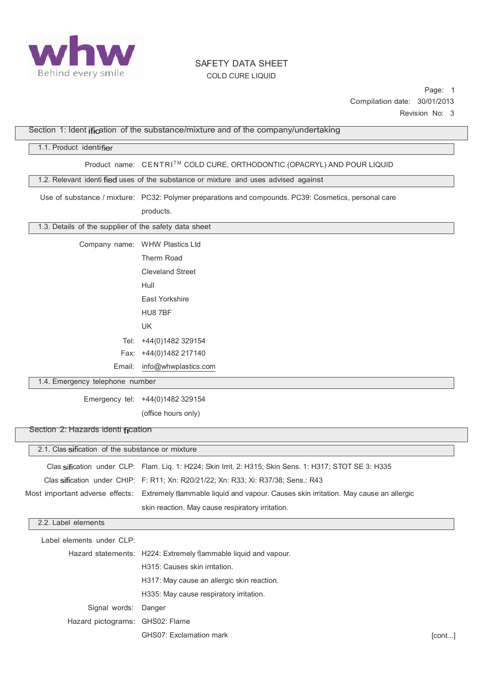

Page: 1 Compilation date: 30/01/2013 Revision No: 3

|                                                       |                                                                                                                      | <b>ACVISIUII IVU.</b> |
|-------------------------------------------------------|----------------------------------------------------------------------------------------------------------------------|-----------------------|
|                                                       | Section 1: Ident ification of the substance/mixture and of the company/undertaking                                   |                       |
| 1.1. Product identifier                               |                                                                                                                      |                       |
|                                                       | Product_name: CENTRI™ COLD CURE, ORTHODONTIC (OPACRYL) AND POUR LIQUID                                               |                       |
|                                                       | 1.2. Relevant identi fied uses of the substance or mixture and uses advised against                                  |                       |
|                                                       | Use of substance / mixture: PC32: Polymer preparations and compounds. PC39: Cosmetics, personal care                 |                       |
|                                                       | products.                                                                                                            |                       |
| 1.3. Details of the supplier of the safety data sheet |                                                                                                                      |                       |
|                                                       | Company name: WHW Plastics Ltd                                                                                       |                       |
|                                                       | Therm Road                                                                                                           |                       |
|                                                       | <b>Cleveland Street</b>                                                                                              |                       |
|                                                       | Hull                                                                                                                 |                       |
|                                                       | East Yorkshire                                                                                                       |                       |
|                                                       | HU8 7BF                                                                                                              |                       |
|                                                       |                                                                                                                      |                       |
|                                                       | UK                                                                                                                   |                       |
|                                                       | Tel: +44(0)1482 329154                                                                                               |                       |
|                                                       | Fax: +44(0)1482 217140                                                                                               |                       |
| Email:                                                | info@whwplastics.com                                                                                                 |                       |
| 1.4. Emergency telephone number                       |                                                                                                                      |                       |
|                                                       | Emergency tel: +44(0)1482 329154                                                                                     |                       |
|                                                       | (office hours only)                                                                                                  |                       |
| Section 2: Hazards identi fication                    |                                                                                                                      |                       |
| 2.1. Clas sification of the substance or mixture      |                                                                                                                      |                       |
|                                                       | Clas sification under CLP: Flam. Liq. 1: H224; Skin Irrit. 2: H315; Skin Sens. 1: H317; STOT SE 3: H335              |                       |
|                                                       | Clas sification under CHIP: F: R11; Xn: R20/21/22; Xn: R33; Xi: R37/38; Sens.: R43                                   |                       |
|                                                       | Most important adverse effects: Extremely flammable liquid and vapour. Causes skin irritation. May cause an allergic |                       |
|                                                       | skin reaction. May cause respiratory irritation.                                                                     |                       |
| 2.2. Label elements                                   |                                                                                                                      |                       |
| Label elements under CLP:                             |                                                                                                                      |                       |
|                                                       | Hazard statements: H224: Extremely flammable liquid and vapour.                                                      |                       |
|                                                       | H315: Causes skin irritation.                                                                                        |                       |
|                                                       | H317: May cause an allergic skin reaction.                                                                           |                       |
|                                                       | H335: May cause respiratory irritation.                                                                              |                       |
| Signal words:                                         | Danger                                                                                                               |                       |
| Hazard pictograms: GHS02: Flame                       |                                                                                                                      |                       |
|                                                       | GHS07: Exclamation mark                                                                                              | [cont]                |
|                                                       |                                                                                                                      |                       |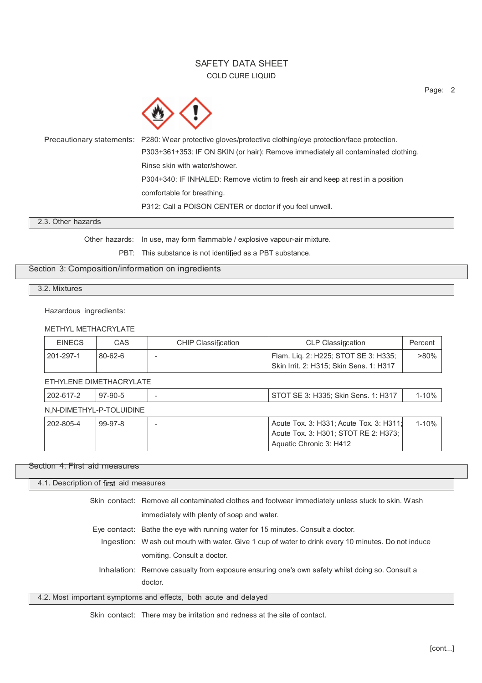Precautionary statements: P280: Wear protective gloves/protective clothing/eye protection/face protection. P303+361+353: IF ON SKIN (or hair): Remove immediately all contaminated clothing. Rinse skin with water/shower. P304+340: IF INHALED: Remove victim to fresh air and keep at rest in a position comfortable for breathing. P312: Call a POISON CENTER or doctor if you feel unwell.

2.3. Other hazards

Other hazards: In use, may form flammable / explosive vapour-air mixture.

PBT: This substance is not identified as a PBT substance.

## Section 3: Composition/information on ingredients

3.2. Mixtures

Hazardous ingredients:

### METHYL METHACRYLATE

| <b>EINECS</b>            | <b>CAS</b>              | <b>CHIP Classification</b> | <b>CLP Classification</b>                                                                                  | Percent   |
|--------------------------|-------------------------|----------------------------|------------------------------------------------------------------------------------------------------------|-----------|
| 201-297-1                | $80 - 62 - 6$           |                            | Flam. Liq. 2: H225; STOT SE 3: H335;<br>Skin Irrit. 2: H315; Skin Sens. 1: H317                            | $>80\%$   |
|                          | ETHYLENE DIMETHACRYLATE |                            |                                                                                                            |           |
| 202-617-2                | $97-90-5$               |                            | STOT SE 3: H335; Skin Sens. 1: H317                                                                        | 1-10%     |
| N,N-DIMETHYL-P-TOLUIDINE |                         |                            |                                                                                                            |           |
| 202-805-4                | $99-97-8$               |                            | Acute Tox. 3: H331; Acute Tox. 3: H311;<br>Acute Tox. 3: H301; STOT RE 2: H373;<br>Aquatic Chronic 3: H412 | $1 - 10%$ |

#### Section 4: First aid measures

| 4.1. Description of first aid measures |                                                                                                    |
|----------------------------------------|----------------------------------------------------------------------------------------------------|
|                                        | Skin contact: Remove all contaminated clothes and footwear immediately unless stuck to skin. Wash  |
|                                        | immediately with plenty of soap and water.                                                         |
|                                        | Eye contact: Bathe the eye with running water for 15 minutes. Consult a doctor.                    |
|                                        | Ingestion: Wash out mouth with water. Give 1 cup of water to drink every 10 minutes. Do not induce |
|                                        | vomiting. Consult a doctor.                                                                        |
|                                        | Inhalation: Remove casualty from exposure ensuring one's own safety whilst doing so. Consult a     |
|                                        | doctor.                                                                                            |
|                                        | 4.2. Most important symptoms and effects, both acute and delayed                                   |

Skin contact: There may be irritation and redness at the site of contact.

Page: 2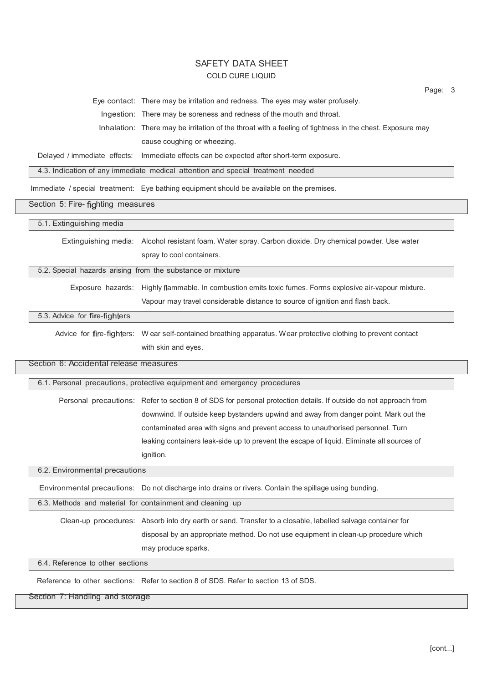|                                        | Page: 3                                                                                                          |
|----------------------------------------|------------------------------------------------------------------------------------------------------------------|
|                                        | Eye contact: There may be irritation and redness. The eyes may water profusely.                                  |
|                                        | Ingestion: There may be soreness and redness of the mouth and throat.                                            |
|                                        | Inhalation: There may be irritation of the throat with a feeling of tightness in the chest. Exposure may         |
|                                        | cause coughing or wheezing.                                                                                      |
|                                        | Delayed / immediate effects: Immediate effects can be expected after short-term exposure.                        |
|                                        | 4.3. Indication of any immediate medical attention and special treatment needed                                  |
|                                        | Immediate / special treatment: Eye bathing equipment should be available on the premises.                        |
| Section 5: Fire- fighting measures     |                                                                                                                  |
| 5.1. Extinguishing media               |                                                                                                                  |
|                                        | Extinguishing media: Alcohol resistant foam. Water spray. Carbon dioxide. Dry chemical powder. Use water         |
|                                        | spray to cool containers.                                                                                        |
|                                        | 5.2. Special hazards arising from the substance or mixture                                                       |
|                                        | Exposure hazards: Highly flammable. In combustion emits toxic fumes. Forms explosive air-vapour mixture.         |
|                                        | Vapour may travel considerable distance to source of ignition and flash back.                                    |
| 5.3. Advice for fire-fighters          |                                                                                                                  |
|                                        | Advice for fire-fighters: Wear self-contained breathing apparatus. Wear protective clothing to prevent contact   |
|                                        | with skin and eyes.                                                                                              |
| Section 6: Accidental release measures |                                                                                                                  |
|                                        |                                                                                                                  |
|                                        | 6.1. Personal precautions, protective equipment and emergency procedures                                         |
|                                        | Personal precautions: Refer to section 8 of SDS for personal protection details. If outside do not approach from |
|                                        | downwind. If outside keep bystanders upwind and away from danger point. Mark out the                             |
|                                        | contaminated area with signs and prevent access to unauthorised personnel. Turn                                  |
|                                        | leaking containers leak-side up to prevent the escape of liquid. Eliminate all sources of                        |
|                                        | ignition.                                                                                                        |
| 6.2. Environmental precautions         |                                                                                                                  |
|                                        | Environmental precautions: Do not discharge into drains or rivers. Contain the spillage using bunding.           |
|                                        | 6.3. Methods and material for containment and cleaning up                                                        |
|                                        | Clean-up procedures: Absorb into dry earth or sand. Transfer to a closable, labelled salvage container for       |
|                                        | disposal by an appropriate method. Do not use equipment in clean-up procedure which                              |
|                                        | may produce sparks.                                                                                              |
| 6.4. Reference to other sections       |                                                                                                                  |
|                                        | Reference to other sections: Refer to section 8 of SDS, Refer to section 13 of SDS.                              |
|                                        |                                                                                                                  |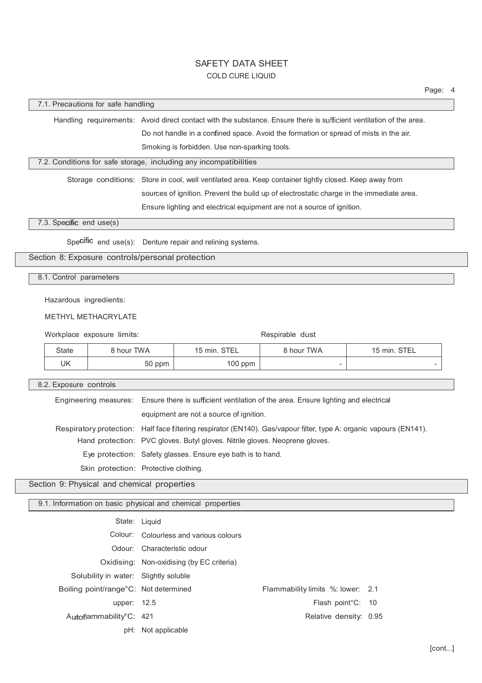|                                                                   |                                       |               |                                                                                                                                                                            |                          |              | Page: 4 |  |
|-------------------------------------------------------------------|---------------------------------------|---------------|----------------------------------------------------------------------------------------------------------------------------------------------------------------------------|--------------------------|--------------|---------|--|
| 7.1. Precautions for safe handling                                |                                       |               |                                                                                                                                                                            |                          |              |         |  |
|                                                                   |                                       |               | Handling requirements: Avoid direct contact with the substance. Ensure there is sufficient ventilation of the area.                                                        |                          |              |         |  |
|                                                                   |                                       |               | Do not handle in a confined space. Avoid the formation or spread of mists in the air.                                                                                      |                          |              |         |  |
| Smoking is forbidden. Use non-sparking tools.                     |                                       |               |                                                                                                                                                                            |                          |              |         |  |
| 7.2. Conditions for safe storage, including any incompatibilities |                                       |               |                                                                                                                                                                            |                          |              |         |  |
|                                                                   |                                       |               | Storage conditions: Store in cool, well ventilated area. Keep container tightly closed. Keep away from                                                                     |                          |              |         |  |
|                                                                   |                                       |               | sources of ignition. Prevent the build up of electrostatic charge in the immediate area.                                                                                   |                          |              |         |  |
|                                                                   |                                       |               | Ensure lighting and electrical equipment are not a source of ignition.                                                                                                     |                          |              |         |  |
| 7.3. Specific end use(s)                                          |                                       |               |                                                                                                                                                                            |                          |              |         |  |
|                                                                   |                                       |               | Specific end use(s): Denture repair and relining systems.                                                                                                                  |                          |              |         |  |
| Section 8: Exposure controls/personal protection                  |                                       |               |                                                                                                                                                                            |                          |              |         |  |
|                                                                   |                                       |               |                                                                                                                                                                            |                          |              |         |  |
| 8.1. Control parameters                                           |                                       |               |                                                                                                                                                                            |                          |              |         |  |
| Hazardous ingredients:                                            |                                       |               |                                                                                                                                                                            |                          |              |         |  |
|                                                                   | <b>METHYL METHACRYLATE</b>            |               |                                                                                                                                                                            |                          |              |         |  |
|                                                                   | Workplace exposure limits:            |               |                                                                                                                                                                            | Respirable dust          |              |         |  |
| <b>State</b>                                                      | 8 hour TWA                            |               | 15 min. STEL                                                                                                                                                               | 8 hour TWA               | 15 min. STEL |         |  |
| <b>UK</b>                                                         |                                       | 50 ppm        | 100 ppm                                                                                                                                                                    | $\overline{\phantom{a}}$ |              |         |  |
|                                                                   |                                       |               |                                                                                                                                                                            |                          |              |         |  |
| 8.2. Exposure controls                                            |                                       |               |                                                                                                                                                                            |                          |              |         |  |
|                                                                   | Engineering measures:                 |               | Ensure there is sufficient ventilation of the area. Ensure lighting and electrical                                                                                         |                          |              |         |  |
|                                                                   |                                       |               | equipment are not a source of ignition.                                                                                                                                    |                          |              |         |  |
|                                                                   | Respiratory protection:               |               | Half face filtering respirator (EN140). Gas/vapour filter, type A: organic vapours (EN141).<br>Hand protection: PVC gloves. Butyl gloves. Nitrile gloves. Neoprene gloves. |                          |              |         |  |
|                                                                   |                                       |               | Eye protection: Safety glasses. Ensure eye bath is to hand.                                                                                                                |                          |              |         |  |
|                                                                   | Skin protection: Protective clothing. |               |                                                                                                                                                                            |                          |              |         |  |
| Section 9: Physical and chemical properties                       |                                       |               |                                                                                                                                                                            |                          |              |         |  |
|                                                                   |                                       |               |                                                                                                                                                                            |                          |              |         |  |
|                                                                   |                                       |               | 9.1. Information on basic physical and chemical properties                                                                                                                 |                          |              |         |  |
|                                                                   |                                       | State: Liquid |                                                                                                                                                                            |                          |              |         |  |
| Colour: Colourless and various colours                            |                                       |               |                                                                                                                                                                            |                          |              |         |  |
| Odour: Characteristic odour                                       |                                       |               |                                                                                                                                                                            |                          |              |         |  |
| Oxidising: Non-oxidising (by EC criteria)                         |                                       |               |                                                                                                                                                                            |                          |              |         |  |
|                                                                   | Solubility in water: Slightly soluble |               |                                                                                                                                                                            |                          |              |         |  |

Solubility in water: Slightly soluble Boiling point/range°C:

Flammability limits %: lower: 2.1 upper: 12.5 Flash point°C: 10 Autoflammability°C: 421 and a set of the Relative density: 0.95

pH: Not applicable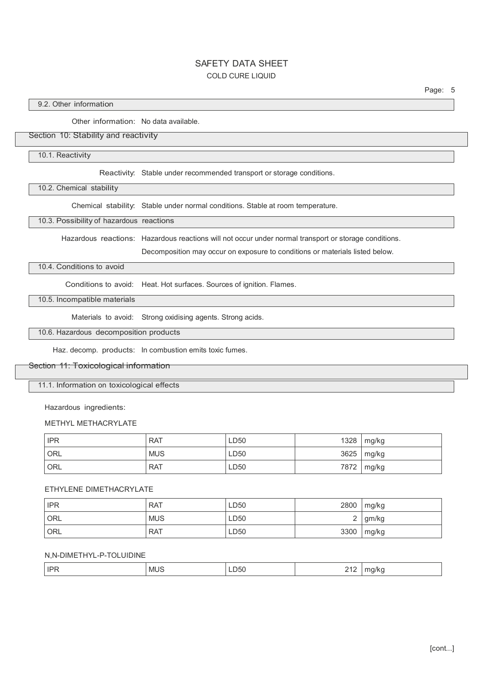Page: 5

## 9.2. Other information

Other information: No data available.

### Section 10: Stability and reactivity

10.1. Reactivity

Reactivity: Stable under recommended transport or storage conditions.

10.2. Chemical stability

Chemical stability: Stable under normal conditions. Stable at room temperature.

10.3. Possibility of hazardous reactions

Hazardous reactions: Hazardous reactions will not occur under normal transport or storage conditions.

Decomposition may occur on exposure to conditions or materials listed below.

### 10.4. Conditions to avoid

Conditions to avoid: Heat. Hot surfaces. Sources of ignition. Flames.

## 10.5. Incompatible materials

Materials to avoid: Strong oxidising agents. Strong acids.

### 10.6. Hazardous decomposition products

Haz. decomp. products: In combustion emits toxic fumes.

#### Section 11: Toxicological information

11.1. Information on toxicological effects

Hazardous ingredients:

#### METHYL METHACRYLATE

| <b>IPR</b> | <b>RAT</b> | LD50 | 1328 | mg/kg      |
|------------|------------|------|------|------------|
| ORL        | <b>MUS</b> | LD50 |      | 3625 mg/kg |
| <b>ORL</b> | <b>RAT</b> | LD50 | 7872 | mg/kg      |

### ETHYLENE DIMETHACRYLATE

| <b>IPR</b> | <b>RAT</b> | LD50 | 2800 | mg/kg |
|------------|------------|------|------|-------|
| ORL        | <b>MUS</b> | LD50 | ∸    | gm/kg |
| <b>ORL</b> | <b>RAT</b> | LD50 | 3300 | mg/kg |

### N,N-DIMETHYL-P-TOLUIDINE

| IPF | MU: | LD50 | $-1$ | $\mathbf{u}$ |
|-----|-----|------|------|--------------|
|     |     | $ -$ |      | .            |
|     |     |      |      |              |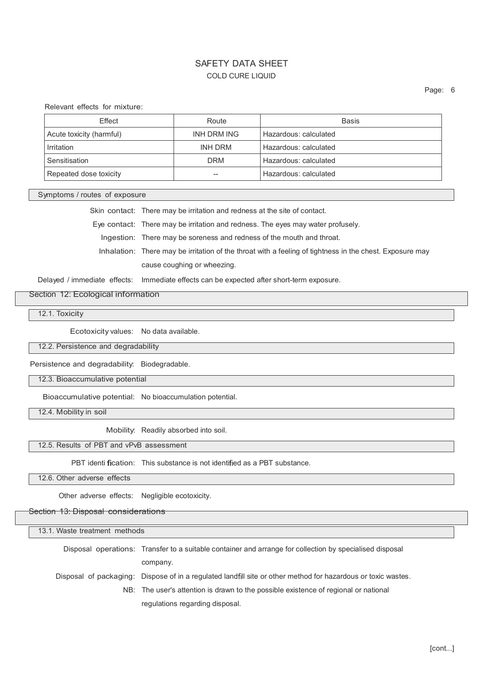Relevant effects for mixture:

| Effect                   | Route       | Basis                 |
|--------------------------|-------------|-----------------------|
| Acute toxicity (harmful) | INH DRM ING | Hazardous: calculated |
| Irritation               | INH DRM     | Hazardous: calculated |
| Sensitisation            | <b>DRM</b>  | Hazardous: calculated |
| Repeated dose toxicity   | --          | Hazardous: calculated |

Symptoms / routes of exposure

Skin contact: There may be irritation and redness at the site of contact. Eye contact: There may be irritation and redness. The eyes may water profusely. Ingestion: There may be soreness and redness of the mouth and throat. Inhalation: There may be irritation of the throat with a feeling of tightness in the chest. Exposure may cause coughing or wheezing.

Delayed / immediate effects: Immediate effects can be expected after short-term exposure.

Section 12: Ecological information

12.1. Toxicity

Ecotoxicity values: No data available.

12.2. Persistence and degradability

Persistence and degradability: Biodegradable.

12.3. Bioaccumulative potential

Bioaccumulative potential: No bioaccumulation potential.

12.4. Mobility in soil

Mobility: Readily absorbed into soil.

12.5. Results of PBT and vPvB assessment

PBT identi fication: This substance is not identified as a PBT substance.

12.6. Other adverse effects

Other adverse effects: Negligible ecotoxicity.

#### Section 13: Disposal considerations

| 13.1. Waste treatment methods |                                                                                                               |  |  |
|-------------------------------|---------------------------------------------------------------------------------------------------------------|--|--|
|                               | Disposal operations: Transfer to a suitable container and arrange for collection by specialised disposal      |  |  |
|                               | company.                                                                                                      |  |  |
|                               | Disposal of packaging: Dispose of in a regulated landfill site or other method for hazardous or toxic wastes. |  |  |
|                               | NB: The user's attention is drawn to the possible existence of regional or national                           |  |  |
|                               | regulations regarding disposal.                                                                               |  |  |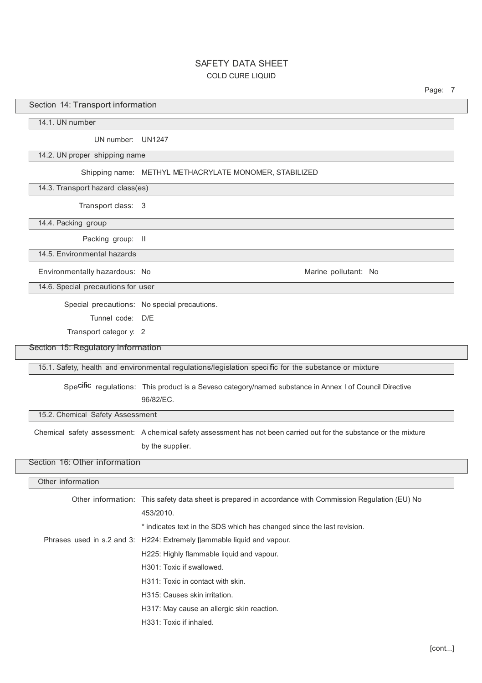Page: 7

### Section 14: Transport information

14.1. UN number

UN number: UN1247

14.2. UN proper shipping name

#### Shipping name: METHYL METHACRYLATE MONOMER, STABILIZED

14.3. Transport hazard class(es)

Transport class: 3

14.4. Packing group

Packing group: II

14.5. Environmental hazards

Environmentally hazardous: No **Marine Pollutant: No Marine pollutant: No** Marine pollutant: No

14.6. Special precautions for user

Special precautions: No special precautions.

Tunnel code: D/E

Transport categor y: 2

Section 15: Regulatory information

15.1. Safety, health and environmental regulations/legislation speci fic for the substance or mixture

Spe Cific regulations: This product is a Seveso category/named substance in Annex I of Council Directive 96/82/EC.

15.2. Chemical Safety Assessment

Chemical safety assessment: A chemical safety assessment has not been carried out for the substance or the mixture by the supplier.

# Section 16: Other information

| Other information |                                                                                                        |
|-------------------|--------------------------------------------------------------------------------------------------------|
|                   | Other information: This safety data sheet is prepared in accordance with Commission Regulation (EU) No |
|                   | 453/2010.                                                                                              |
|                   | * indicates text in the SDS which has changed since the last revision.                                 |
|                   | Phrases used in s.2 and 3: H224: Extremely flammable liquid and vapour.                                |
|                   | H225: Highly flammable liquid and vapour.                                                              |
|                   | H301: Toxic if swallowed.                                                                              |
|                   | H311: Toxic in contact with skin.                                                                      |
|                   | H315: Causes skin irritation.                                                                          |
|                   | H317: May cause an allergic skin reaction.                                                             |
|                   | H331: Toxic if inhaled.                                                                                |
|                   |                                                                                                        |